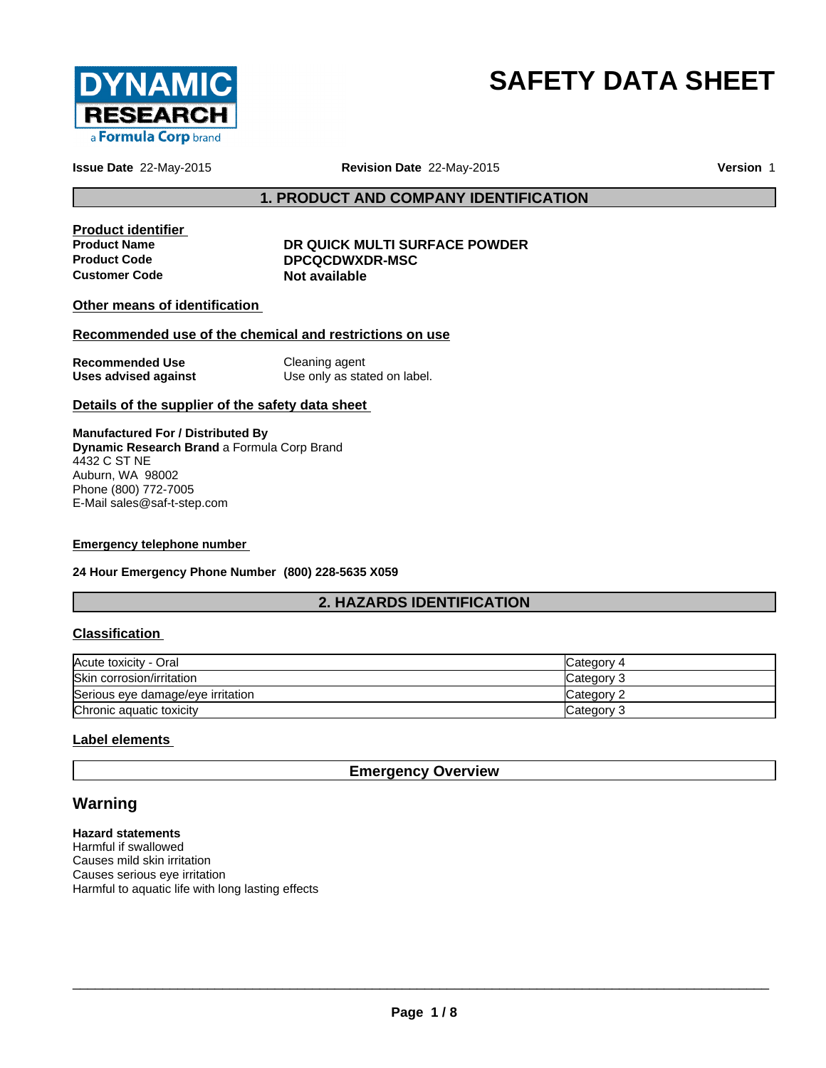

# **SAFETY DATA SHEET**

**Issue Date** 22-May-2015 **Revision Date** 22-May-2015 **Version** 1

# **1. PRODUCT AND COMPANY IDENTIFICATION**

**Product identifier** 

**DR QUICK MULTI SURFACE POWDER Product Code DPCQCDWXDR-MSC Not available** 

# **Other means of identification**

# **Recommended use of the chemical and restrictions on use**

**Recommended Use** Cleaning agent **Uses advised against** Use only as stated on label.

# **Details of the supplier of the safety data sheet**

**Manufactured For / Distributed By Dynamic Research Brand** a Formula Corp Brand 4432 C ST NE Auburn, WA 98002 Phone (800) 772-7005 E-Mail sales@saf-t-step.com

# **Emergency telephone number**

**24 Hour Emergency Phone Number (800) 228-5635 X059**

# **2. HAZARDS IDENTIFICATION**

# **Classification**

| Acute toxicity - Oral             | Category 4 |
|-----------------------------------|------------|
| Skin corrosion/irritation         | Category 3 |
| Serious eye damage/eye irritation | Category 2 |
| Chronic aquatic toxicity          | Category 3 |

# **Label elements**

**Emergency Overview**

# **Warning**

**Hazard statements** Harmful if swallowed Causes mild skin irritation Causes serious eye irritation Harmful to aquatic life with long lasting effects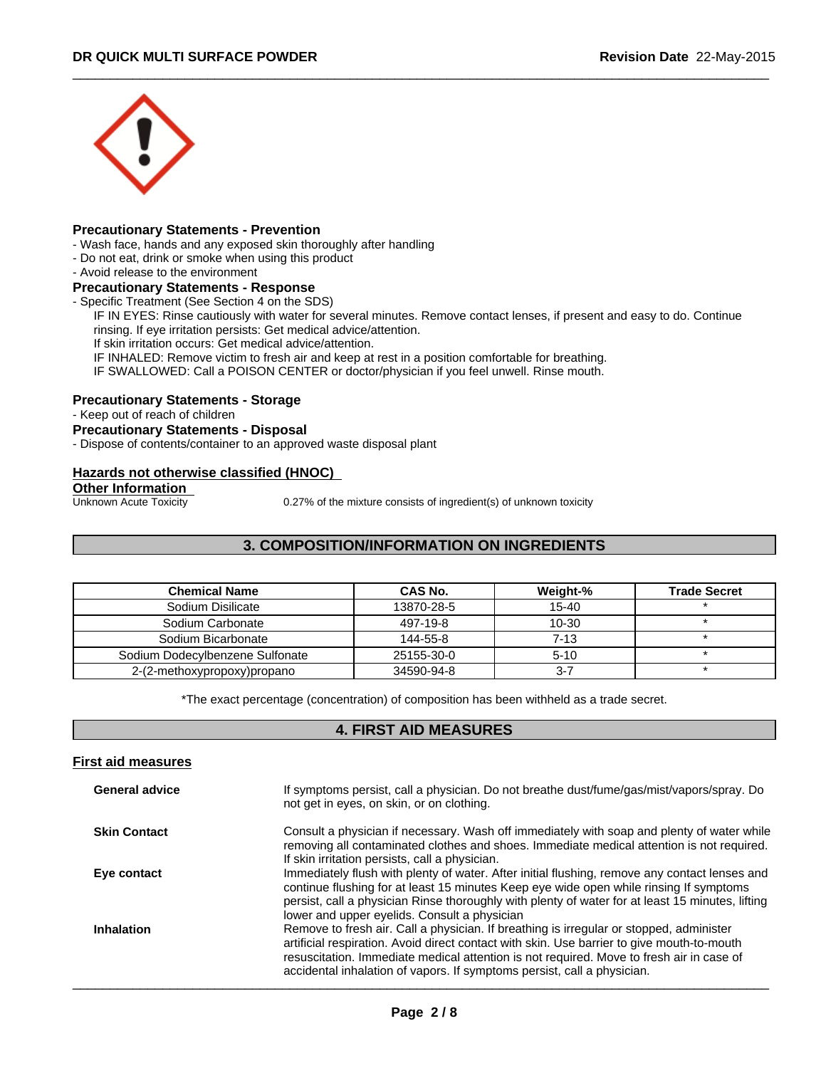

# **Precautionary Statements - Prevention**

- Wash face, hands and any exposed skin thoroughly after handling
- Do not eat, drink or smoke when using this product
- Avoid release to the environment

# **Precautionary Statements - Response**

- Specific Treatment (See Section 4 on the SDS)

IF IN EYES: Rinse cautiously with water for several minutes. Remove contact lenses, if present and easy to do. Continue rinsing. If eye irritation persists: Get medical advice/attention.

If skin irritation occurs: Get medical advice/attention.

IF INHALED: Remove victim to fresh air and keep at rest in a position comfortable for breathing.

IF SWALLOWED: Call a POISON CENTER or doctor/physician if you feel unwell. Rinse mouth.

# **Precautionary Statements - Storage**

- Keep out of reach of children

# **Precautionary Statements - Disposal**

- Dispose of contents/container to an approved waste disposal plant

# **Hazards not otherwise classified (HNOC)**

# **Other Information**<br>Unknown Acute Toxicity

0.27% of the mixture consists of ingredient(s) of unknown toxicity

# **3. COMPOSITION/INFORMATION ON INGREDIENTS**

| <b>Chemical Name</b>            | CAS No.    | Weight-%  | <b>Trade Secret</b> |
|---------------------------------|------------|-----------|---------------------|
| Sodium Disilicate               | 13870-28-5 | $15 - 40$ |                     |
| Sodium Carbonate                | 497-19-8   | $10 - 30$ |                     |
| Sodium Bicarbonate              | 144-55-8   | 7-13      |                     |
| Sodium Dodecylbenzene Sulfonate | 25155-30-0 | $5-10$    |                     |
| 2-(2-methoxypropoxy)propano     | 34590-94-8 |           |                     |

\*The exact percentage (concentration) of composition has been withheld as a trade secret.

# **4. FIRST AID MEASURES**

| First aid measures    |                                                                                                                                                                                                                                                                                                                                                              |
|-----------------------|--------------------------------------------------------------------------------------------------------------------------------------------------------------------------------------------------------------------------------------------------------------------------------------------------------------------------------------------------------------|
| <b>General advice</b> | If symptoms persist, call a physician. Do not breathe dust/fume/gas/mist/vapors/spray. Do<br>not get in eyes, on skin, or on clothing.                                                                                                                                                                                                                       |
| <b>Skin Contact</b>   | Consult a physician if necessary. Wash off immediately with soap and plenty of water while<br>removing all contaminated clothes and shoes. Immediate medical attention is not required.<br>If skin irritation persists, call a physician.                                                                                                                    |
| Eye contact           | Immediately flush with plenty of water. After initial flushing, remove any contact lenses and<br>continue flushing for at least 15 minutes Keep eye wide open while rinsing If symptoms<br>persist, call a physician Rinse thoroughly with plenty of water for at least 15 minutes, lifting<br>lower and upper eyelids. Consult a physician                  |
| <b>Inhalation</b>     | Remove to fresh air. Call a physician. If breathing is irregular or stopped, administer<br>artificial respiration. Avoid direct contact with skin. Use barrier to give mouth-to-mouth<br>resuscitation. Immediate medical attention is not required. Move to fresh air in case of<br>accidental inhalation of vapors. If symptoms persist, call a physician. |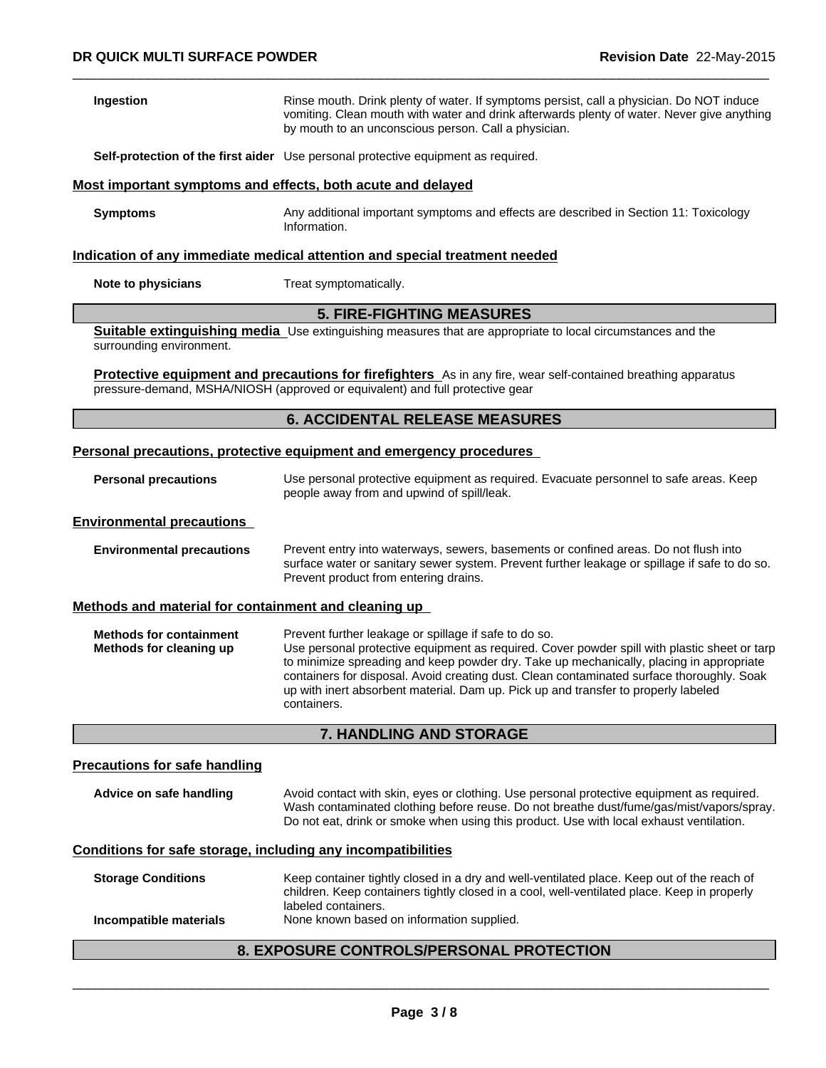| Ingestion                                                    | Rinse mouth. Drink plenty of water. If symptoms persist, call a physician. Do NOT induce<br>vomiting. Clean mouth with water and drink afterwards plenty of water. Never give anything<br>by mouth to an unconscious person. Call a physician.                                                                                                                                                                                                     |
|--------------------------------------------------------------|----------------------------------------------------------------------------------------------------------------------------------------------------------------------------------------------------------------------------------------------------------------------------------------------------------------------------------------------------------------------------------------------------------------------------------------------------|
|                                                              | Self-protection of the first aider Use personal protective equipment as required.                                                                                                                                                                                                                                                                                                                                                                  |
| Most important symptoms and effects, both acute and delayed  |                                                                                                                                                                                                                                                                                                                                                                                                                                                    |
| <b>Symptoms</b>                                              | Any additional important symptoms and effects are described in Section 11: Toxicology<br>Information.                                                                                                                                                                                                                                                                                                                                              |
|                                                              | Indication of any immediate medical attention and special treatment needed                                                                                                                                                                                                                                                                                                                                                                         |
| Note to physicians                                           | Treat symptomatically.                                                                                                                                                                                                                                                                                                                                                                                                                             |
|                                                              | <b>5. FIRE-FIGHTING MEASURES</b>                                                                                                                                                                                                                                                                                                                                                                                                                   |
| surrounding environment.                                     | Suitable extinguishing media Use extinguishing measures that are appropriate to local circumstances and the                                                                                                                                                                                                                                                                                                                                        |
|                                                              | Protective equipment and precautions for firefighters As in any fire, wear self-contained breathing apparatus<br>pressure-demand, MSHA/NIOSH (approved or equivalent) and full protective gear                                                                                                                                                                                                                                                     |
|                                                              | <b>6. ACCIDENTAL RELEASE MEASURES</b>                                                                                                                                                                                                                                                                                                                                                                                                              |
|                                                              | Personal precautions, protective equipment and emergency procedures                                                                                                                                                                                                                                                                                                                                                                                |
| <b>Personal precautions</b>                                  | Use personal protective equipment as required. Evacuate personnel to safe areas. Keep<br>people away from and upwind of spill/leak.                                                                                                                                                                                                                                                                                                                |
| <b>Environmental precautions</b>                             |                                                                                                                                                                                                                                                                                                                                                                                                                                                    |
| <b>Environmental precautions</b>                             | Prevent entry into waterways, sewers, basements or confined areas. Do not flush into<br>surface water or sanitary sewer system. Prevent further leakage or spillage if safe to do so.<br>Prevent product from entering drains.                                                                                                                                                                                                                     |
| Methods and material for containment and cleaning up         |                                                                                                                                                                                                                                                                                                                                                                                                                                                    |
| <b>Methods for containment</b><br>Methods for cleaning up    | Prevent further leakage or spillage if safe to do so.<br>Use personal protective equipment as required. Cover powder spill with plastic sheet or tarp<br>to minimize spreading and keep powder dry. Take up mechanically, placing in appropriate<br>containers for disposal. Avoid creating dust. Clean contaminated surface thoroughly. Soak<br>up with inert absorbent material. Dam up. Pick up and transfer to properly labeled<br>containers. |
|                                                              | 7. HANDLING AND STORAGE                                                                                                                                                                                                                                                                                                                                                                                                                            |
| <b>Precautions for safe handling</b>                         |                                                                                                                                                                                                                                                                                                                                                                                                                                                    |
| Advice on safe handling                                      | Avoid contact with skin, eyes or clothing. Use personal protective equipment as required.<br>Wash contaminated clothing before reuse. Do not breathe dust/fume/gas/mist/vapors/spray.<br>Do not eat, drink or smoke when using this product. Use with local exhaust ventilation.                                                                                                                                                                   |
| Conditions for safe storage, including any incompatibilities |                                                                                                                                                                                                                                                                                                                                                                                                                                                    |
| <b>Storage Conditions</b>                                    | Keep container tightly closed in a dry and well-ventilated place. Keep out of the reach of<br>children. Keep containers tightly closed in a cool, well-ventilated place. Keep in properly<br>labeled containers.                                                                                                                                                                                                                                   |
|                                                              |                                                                                                                                                                                                                                                                                                                                                                                                                                                    |

**Incompatible materials** None known based on information supplied.

# **8. EXPOSURE CONTROLS/PERSONAL PROTECTION**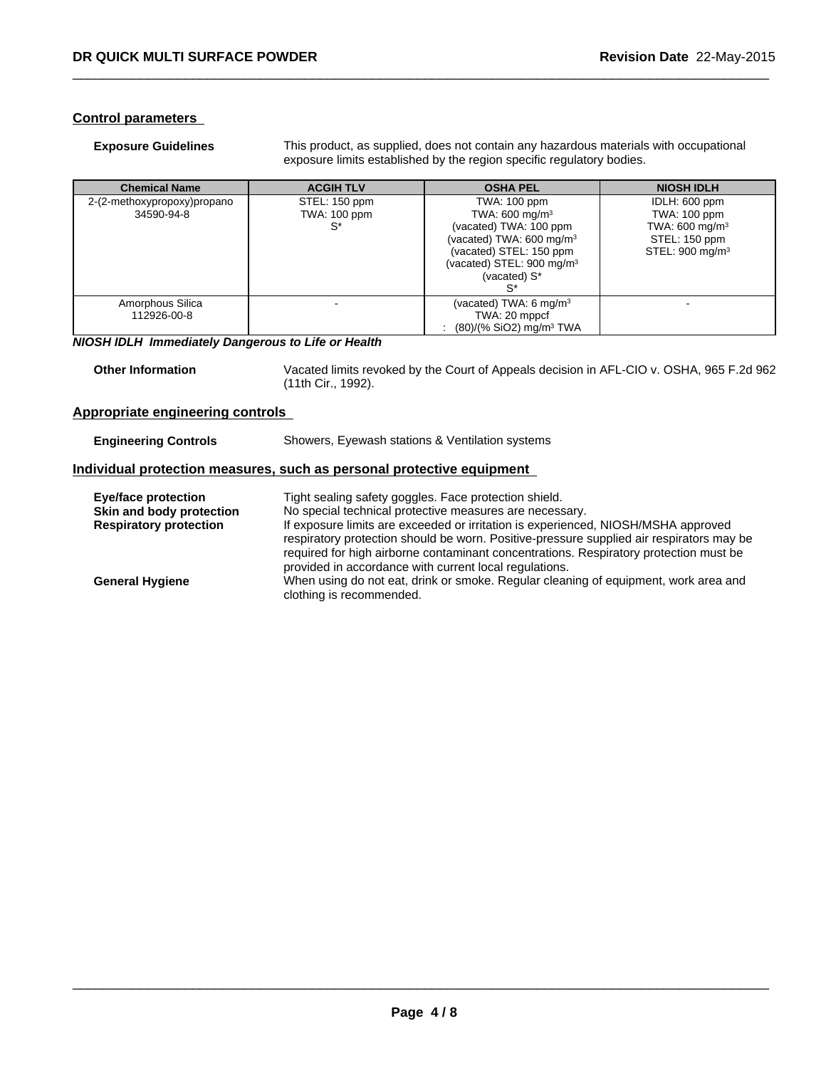# **Control parameters**

**Exposure Guidelines** This product, as supplied, does not contain any hazardous materials with occupational exposure limits established by the region specific regulatory bodies.

| <b>Chemical Name</b>                      | <b>ACGIH TLV</b>                    | <b>OSHA PEL</b>                                                                                                                                                                                   | <b>NIOSH IDLH</b>                                                                                          |
|-------------------------------------------|-------------------------------------|---------------------------------------------------------------------------------------------------------------------------------------------------------------------------------------------------|------------------------------------------------------------------------------------------------------------|
| 2-(2-methoxypropoxy)propano<br>34590-94-8 | STEL: 150 ppm<br>TWA: 100 ppm<br>S* | TWA: 100 ppm<br>TWA: $600 \text{ mg/m}^3$<br>(vacated) TWA: 100 ppm<br>(vacated) TWA: 600 mg/m <sup>3</sup><br>(vacated) STEL: 150 ppm<br>(vacated) STEL: $900 \text{ mg/m}^3$<br>(vacated) $S^*$ | IDLH: 600 ppm<br>TWA: 100 ppm<br>TWA: $600 \text{ mg/m}^3$<br>STEL: 150 ppm<br>STEL: 900 mg/m <sup>3</sup> |
| Amorphous Silica<br>112926-00-8           |                                     | (vacated) TWA: $6 \text{ mg/m}^3$<br>TWA: 20 mppcf<br>: (80)/(% SiO2) mg/m <sup>3</sup> TWA                                                                                                       |                                                                                                            |

*NIOSH IDLH Immediately Dangerous to Life or Health*

**Other Information** Vacated limits revoked by the Court of Appeals decision in AFL-CIO v. OSHA, 965 F.2d 962 (11th Cir., 1992).

# **Appropriate engineering controls**

**Engineering Controls** Showers, Eyewash stations & Ventilation systems

# **Individual protection measures, such as personal protective equipment**

| <b>Eye/face protection</b><br>Skin and body protection | Tight sealing safety goggles. Face protection shield.<br>No special technical protective measures are necessary.                                                                                                                                                                                                                 |
|--------------------------------------------------------|----------------------------------------------------------------------------------------------------------------------------------------------------------------------------------------------------------------------------------------------------------------------------------------------------------------------------------|
| <b>Respiratory protection</b>                          | If exposure limits are exceeded or irritation is experienced, NIOSH/MSHA approved<br>respiratory protection should be worn. Positive-pressure supplied air respirators may be<br>required for high airborne contaminant concentrations. Respiratory protection must be<br>provided in accordance with current local regulations. |
| <b>General Hygiene</b>                                 | When using do not eat, drink or smoke. Regular cleaning of equipment, work area and<br>clothing is recommended.                                                                                                                                                                                                                  |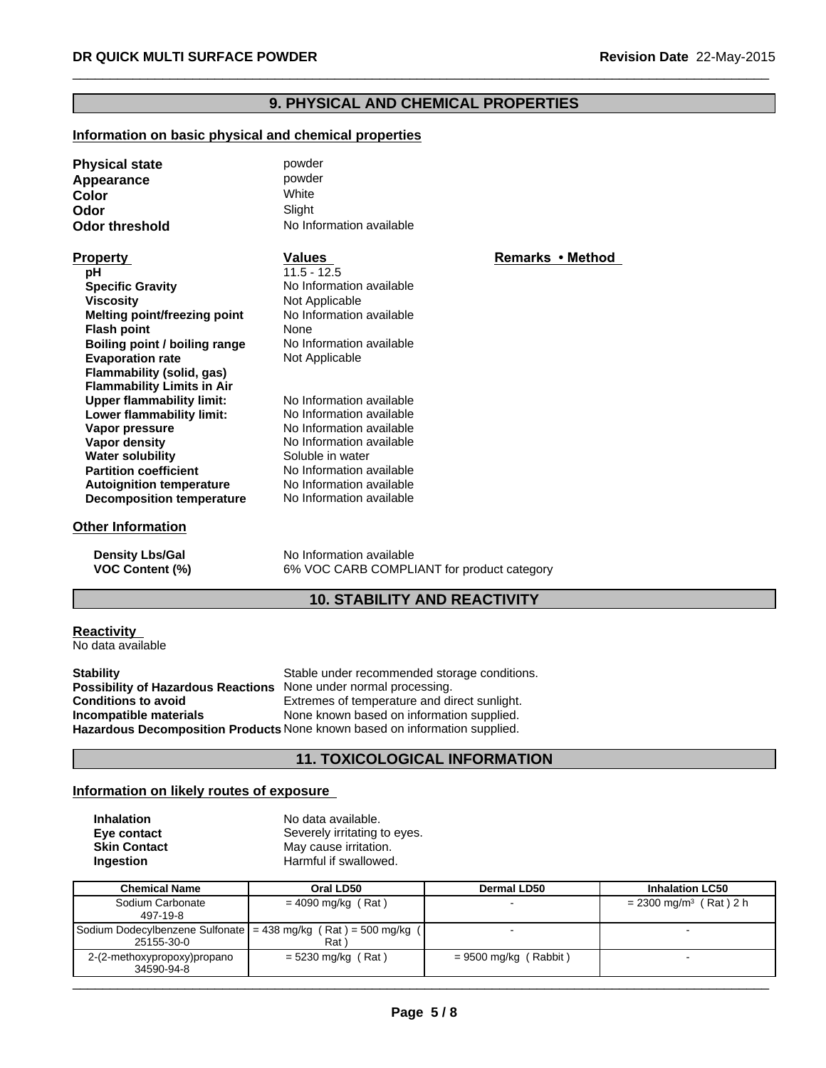# **9. PHYSICAL AND CHEMICAL PROPERTIES**

# **Information on basic physical and chemical properties**

| <b>Physical state</b>               | powder                   |                  |  |
|-------------------------------------|--------------------------|------------------|--|
| Appearance                          | powder                   |                  |  |
| Color                               | White                    |                  |  |
| Odor                                | Slight                   |                  |  |
| Odor threshold                      | No Information available |                  |  |
| <b>Property</b>                     | <b>Values</b>            | Remarks • Method |  |
| рH                                  | $11.5 - 12.5$            |                  |  |
| <b>Specific Gravity</b>             | No Information available |                  |  |
| <b>Viscosity</b>                    | Not Applicable           |                  |  |
| <b>Melting point/freezing point</b> | No Information available |                  |  |
| <b>Flash point</b>                  | None                     |                  |  |
| Boiling point / boiling range       | No Information available |                  |  |
| <b>Evaporation rate</b>             | Not Applicable           |                  |  |
| <b>Flammability (solid, gas)</b>    |                          |                  |  |
| <b>Flammability Limits in Air</b>   |                          |                  |  |
| <b>Upper flammability limit:</b>    | No Information available |                  |  |
| Lower flammability limit:           | No Information available |                  |  |
| Vapor pressure                      | No Information available |                  |  |
| Vapor density                       | No Information available |                  |  |
| <b>Water solubility</b>             | Soluble in water         |                  |  |
| <b>Partition coefficient</b>        | No Information available |                  |  |
| <b>Autoignition temperature</b>     | No Information available |                  |  |
| <b>Decomposition temperature</b>    | No Information available |                  |  |
| <b>Other Information</b>            |                          |                  |  |
| <b>Density Lbs/Gal</b>              | No Information available |                  |  |

**VOC Content (%)** 6% VOC CARB COMPLIANT for product category

# **10. STABILITY AND REACTIVITY**

# **Reactivity**

No data available

**Stability** Stable under recommended storage conditions. **Possibility of Hazardous Reactions** None under normal processing.<br>**Conditions to avoid** Extremes of temperature and di **Conditions to avoid**<br> **Extremes of temperature and direct sunlight.**<br> **Incompatible materials**<br>
None known based on information supplied. None known based on information supplied. **Hazardous Decomposition Products** None known based on information supplied.

# **11. TOXICOLOGICAL INFORMATION**

# **Information on likely routes of exposure**

| <b>Inhalation</b>   | No data available.           |
|---------------------|------------------------------|
| Eye contact         | Severely irritating to eyes. |
| <b>Skin Contact</b> | May cause irritation.        |
| Ingestion           | Harmful if swallowed.        |

| <b>Chemical Name</b>                      | Oral LD50                                                         | Dermal LD50             | <b>Inhalation LC50</b>               |
|-------------------------------------------|-------------------------------------------------------------------|-------------------------|--------------------------------------|
| Sodium Carbonate                          | $= 4090$ mg/kg (Rat)                                              |                         | $= 2300$ mg/m <sup>3</sup> (Rat) 2 h |
| 497-19-8                                  |                                                                   |                         |                                      |
|                                           | Sodium Dodecylbenzene Sulfonate   = 438 mg/kg (Rat) = 500 mg/kg ( |                         |                                      |
| 25155-30-0                                | Rat <sup>'</sup>                                                  |                         |                                      |
| 2-(2-methoxypropoxy)propano<br>34590-94-8 | $= 5230$ mg/kg (Rat)                                              | $= 9500$ mg/kg (Rabbit) |                                      |
|                                           |                                                                   |                         |                                      |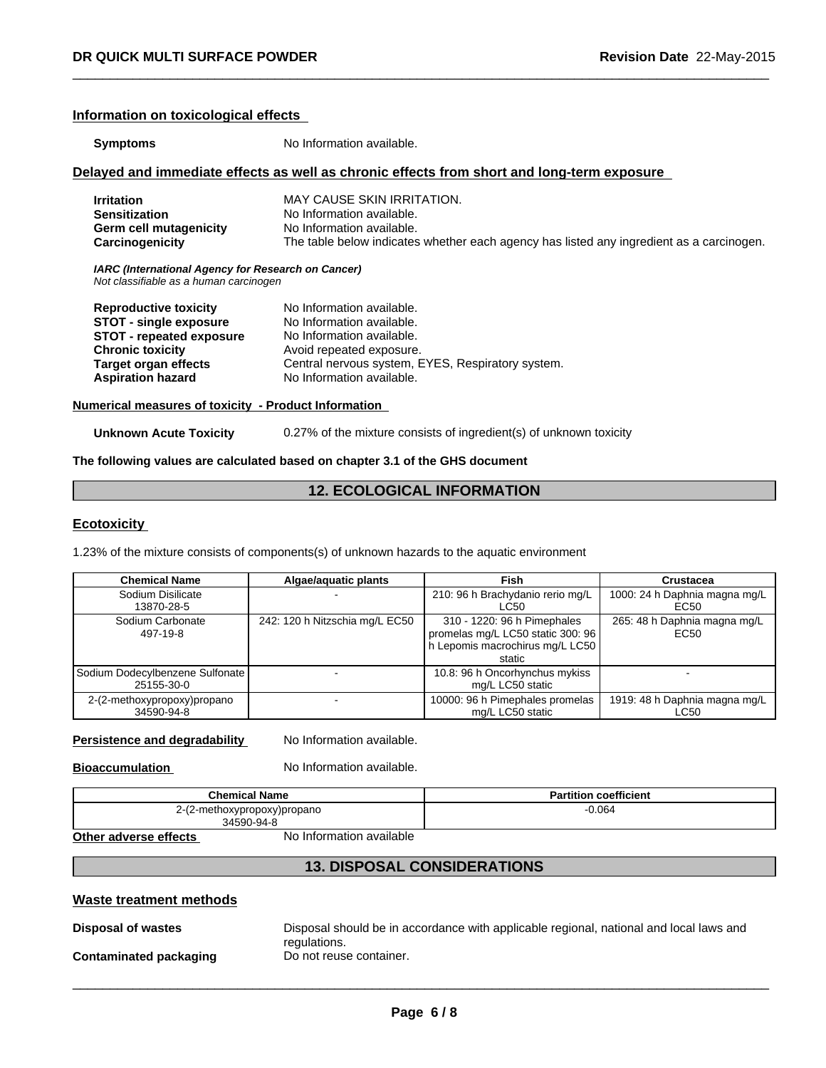#### **Information on toxicological effects**

**Symptoms** No Information available.

# **Delayed and immediate effects as well as chronic effects from short and long-term exposure**

| <b>Irritation</b>             | MAY CAUSE SKIN IRRITATION.                                                               |
|-------------------------------|------------------------------------------------------------------------------------------|
| <b>Sensitization</b>          | No Information available.                                                                |
| <b>Germ cell mutagenicity</b> | No Information available.                                                                |
| Carcinogenicity               | The table below indicates whether each agency has listed any ingredient as a carcinogen. |

*IARC (International Agency for Research on Cancer) Not classifiable as a human carcinogen*

| <b>Reproductive toxicity</b>    | No Information available.                         |
|---------------------------------|---------------------------------------------------|
| <b>STOT - single exposure</b>   | No Information available.                         |
| <b>STOT - repeated exposure</b> | No Information available.                         |
| <b>Chronic toxicity</b>         | Avoid repeated exposure.                          |
| <b>Target organ effects</b>     | Central nervous system, EYES, Respiratory system. |
| <b>Aspiration hazard</b>        | No Information available.                         |

#### **Numerical measures of toxicity - Product Information**

**Unknown Acute Toxicity** 0.27% of the mixture consists of ingredient(s) of unknown toxicity

#### **The following values are calculated based on chapter 3.1 of the GHS document**

# **12. ECOLOGICAL INFORMATION**

# **Ecotoxicity**

1.23% of the mixture consists of components(s) of unknown hazards to the aquatic environment

| <b>Chemical Name</b>                          | Algae/aquatic plants           | Fish                                                                                                          | Crustacea                                    |
|-----------------------------------------------|--------------------------------|---------------------------------------------------------------------------------------------------------------|----------------------------------------------|
| Sodium Disilicate<br>13870-28-5               |                                | 210: 96 h Brachydanio rerio mg/L<br><b>LC50</b>                                                               | 1000: 24 h Daphnia magna mg/L<br>EC50        |
| Sodium Carbonate<br>497-19-8                  | 242: 120 h Nitzschia mg/L EC50 | 310 - 1220: 96 h Pimephales<br>promelas mg/L LC50 static 300: 96<br>h Lepomis macrochirus mg/L LC50<br>static | 265: 48 h Daphnia magna mg/L<br>EC50         |
| Sodium Dodecylbenzene Sulfonate<br>25155-30-0 |                                | 10.8: 96 h Oncorhynchus mykiss<br>mg/L LC50 static                                                            |                                              |
| 2-(2-methoxypropoxy)propano<br>34590-94-8     |                                | 10000: 96 h Pimephales promelas<br>mg/L LC50 static                                                           | 1919: 48 h Daphnia magna mg/L<br><b>LC50</b> |

#### **Persistence and degradability** No Information available.

**Bioaccumulation** No Information available.

| <b>Partition coefficient</b> |
|------------------------------|
| $-0.064$                     |
|                              |

**Other adverse effects** No Information available

# **13. DISPOSAL CONSIDERATIONS**

#### **Waste treatment methods**

| <b>Disposal of wastes</b> | Disposal should be in accordance with applicable regional, national and local laws and<br>regulations. |
|---------------------------|--------------------------------------------------------------------------------------------------------|
| Contaminated packaging    | Do not reuse container.                                                                                |
|                           |                                                                                                        |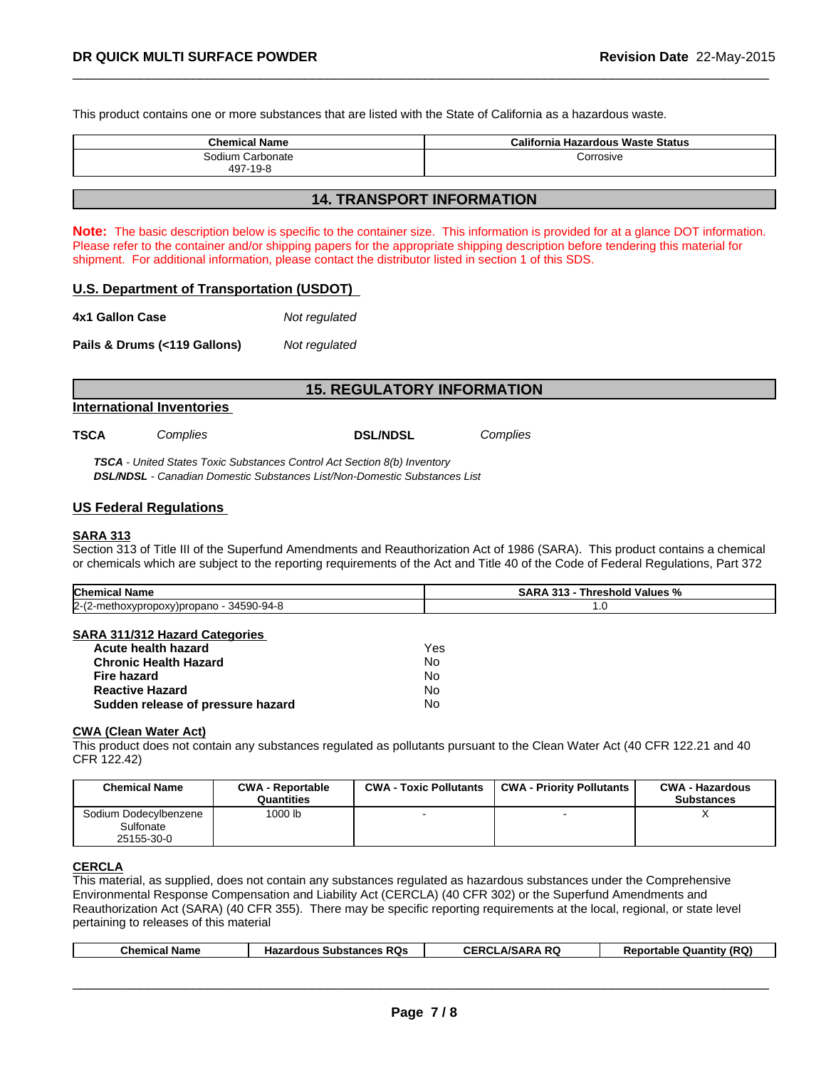This product contains one or more substances that are listed with the State of California as a hazardous waste.

| <b>Chemical Name</b>         | California Hazardous Waste Status |
|------------------------------|-----------------------------------|
| Sodium Carbonate<br>497-19-8 | Corrosive                         |

# **14. TRANSPORT INFORMATION**

**Note:** The basic description below is specific to the container size. This information is provided for at a glance DOT information. Please refer to the container and/or shipping papers for the appropriate shipping description before tendering this material for shipment. For additional information, please contact the distributor listed in section 1 of this SDS.

# **U.S. Department of Transportation (USDOT)**

| 4x1 Gallon Case | Not regulated |
|-----------------|---------------|

**Pails & Drums (<119 Gallons)** *Not regulated*

|                           |          | <b>15. REGULATORY INFORMATION</b> |          |  |
|---------------------------|----------|-----------------------------------|----------|--|
| International Inventories |          |                                   |          |  |
| <b>TSCA</b>               | Complies | <b>DSL/NDSL</b>                   | Complies |  |

*TSCA - United States Toxic Substances Control Act Section 8(b) Inventory DSL/NDSL - Canadian Domestic Substances List/Non-Domestic Substances List*

# **US Federal Regulations**

# **SARA 313**

Section 313 of Title III of the Superfund Amendments and Reauthorization Act of 1986 (SARA). This product contains a chemical or chemicals which are subject to the reporting requirements of the Act and Title 40 of the Code of Federal Regulations, Part 372

| <b>Chemical Name</b>                        | 242<br>SARA<br>Threshold Values %<br>. |
|---------------------------------------------|----------------------------------------|
| 34590-94-8<br>$2-(2-methoxypropoxy)propano$ | . ن                                    |
|                                             |                                        |

# **SARA 311/312 Hazard Categories**

| Acute health hazard               | Yes |
|-----------------------------------|-----|
| <b>Chronic Health Hazard</b>      | No. |
| Fire hazard                       | N٥  |
| <b>Reactive Hazard</b>            | N٥  |
| Sudden release of pressure hazard | No  |

#### **CWA (Clean Water Act)**

This product does not contain any substances regulated as pollutants pursuant to the Clean Water Act (40 CFR 122.21 and 40 CFR 122.42)

| <b>Chemical Name</b>                             | <b>CWA - Reportable</b><br>Quantities | <b>CWA - Toxic Pollutants</b> | <b>CWA - Priority Pollutants</b> | <b>CWA - Hazardous</b><br><b>Substances</b> |
|--------------------------------------------------|---------------------------------------|-------------------------------|----------------------------------|---------------------------------------------|
| Sodium Dodecylbenzene<br>Sulfonate<br>25155-30-0 | 1000 lb                               |                               |                                  |                                             |

# **CERCLA**

This material, as supplied, does not contain any substances regulated as hazardous substances under the Comprehensive Environmental Response Compensation and Liability Act (CERCLA) (40 CFR 302) or the Superfund Amendments and Reauthorization Act (SARA) (40 CFR 355). There may be specific reporting requirements at the local, regional, or state level pertaining to releases of this material

| <b>Chemical Name</b> | <b>Hazardous Substances RQs</b><br>-492 | <b>A/SARA RQ</b><br><b>CERCL</b> | . Quantity (RQ)<br>eportable: |  |
|----------------------|-----------------------------------------|----------------------------------|-------------------------------|--|
|                      |                                         |                                  |                               |  |
|                      |                                         |                                  |                               |  |